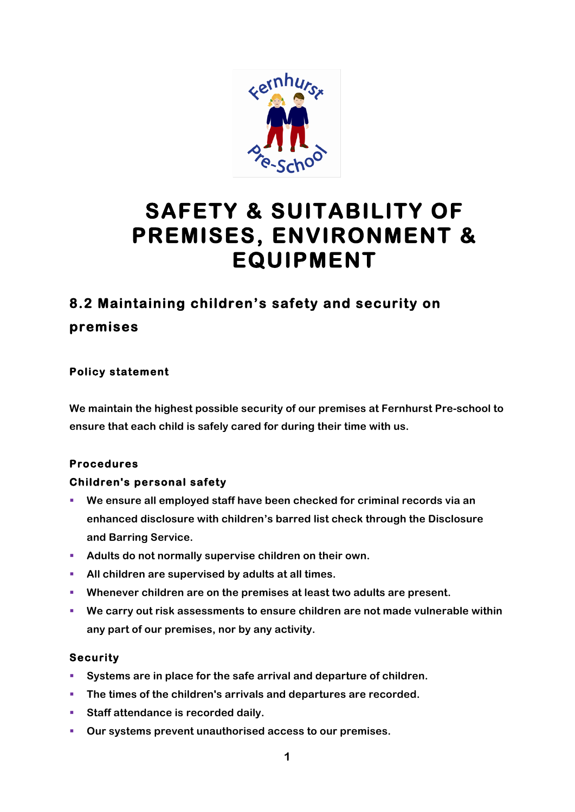

# **SAFETY & SUITABILITY OF PREMISES, ENVIRONMENT & EQUIPMENT**

## **8.2 Maintaining children's safety and security on premises**

### **Policy statement**

**We maintain the highest possible security of our premises at Fernhurst Pre-school to ensure that each child is safely cared for during their time with us.**

### **Procedures**

### **Children's personal safety**

- § **We ensure all employed staff have been checked for criminal records via an enhanced disclosure with children's barred list check through the Disclosure and Barring Service.**
- Adults do not normally supervise children on their own.
- § **All children are supervised by adults at all times.**
- § **Whenever children are on the premises at least two adults are present.**
- We carry out risk assessments to ensure children are not made vulnerable within **any part of our premises, nor by any activity.**

#### **Security**

- § **Systems are in place for the safe arrival and departure of children.**
- § **The times of the children's arrivals and departures are recorded.**
- Staff attendance is recorded daily.
- § **Our systems prevent unauthorised access to our premises.**